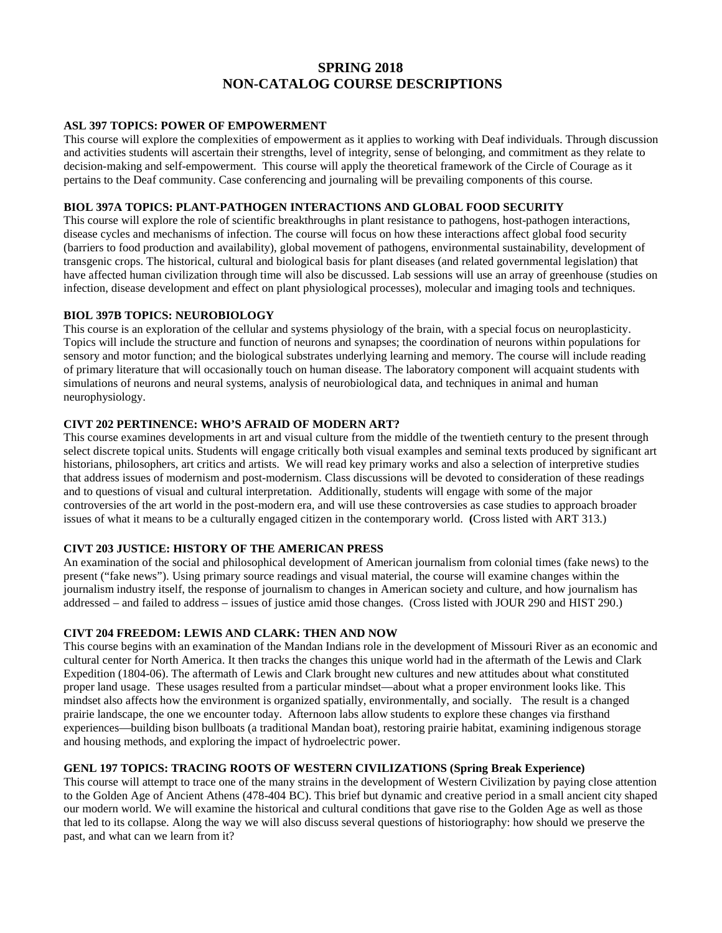# **SPRING 2018 NON-CATALOG COURSE DESCRIPTIONS**

### **ASL 397 TOPICS: POWER OF EMPOWERMENT**

This course will explore the complexities of empowerment as it applies to working with Deaf individuals. Through discussion and activities students will ascertain their strengths, level of integrity, sense of belonging, and commitment as they relate to decision-making and self-empowerment. This course will apply the theoretical framework of the Circle of Courage as it pertains to the Deaf community. Case conferencing and journaling will be prevailing components of this course.

# **BIOL 397A TOPICS: PLANT-PATHOGEN INTERACTIONS AND GLOBAL FOOD SECURITY**

This course will explore the role of scientific breakthroughs in plant resistance to pathogens, host-pathogen interactions, disease cycles and mechanisms of infection. The course will focus on how these interactions affect global food security (barriers to food production and availability), global movement of pathogens, environmental sustainability, development of transgenic crops. The historical, cultural and biological basis for plant diseases (and related governmental legislation) that have affected human civilization through time will also be discussed. Lab sessions will use an array of greenhouse (studies on infection, disease development and effect on plant physiological processes), molecular and imaging tools and techniques.

### **BIOL 397B TOPICS: NEUROBIOLOGY**

This course is an exploration of the cellular and systems physiology of the brain, with a special focus on neuroplasticity. Topics will include the structure and function of neurons and synapses; the coordination of neurons within populations for sensory and motor function; and the biological substrates underlying learning and memory. The course will include reading of primary literature that will occasionally touch on human disease. The laboratory component will acquaint students with simulations of neurons and neural systems, analysis of neurobiological data, and techniques in animal and human neurophysiology.

### **CIVT 202 PERTINENCE: WHO'S AFRAID OF MODERN ART?**

This course examines developments in art and visual culture from the middle of the twentieth century to the present through select discrete topical units. Students will engage critically both visual examples and seminal texts produced by significant art historians, philosophers, art critics and artists. We will read key primary works and also a selection of interpretive studies that address issues of modernism and post-modernism. Class discussions will be devoted to consideration of these readings and to questions of visual and cultural interpretation. Additionally, students will engage with some of the major controversies of the art world in the post-modern era, and will use these controversies as case studies to approach broader issues of what it means to be a culturally engaged citizen in the contemporary world. **(**Cross listed with ART 313.)

### **CIVT 203 JUSTICE: HISTORY OF THE AMERICAN PRESS**

An examination of the social and philosophical development of American journalism from colonial times (fake news) to the present ("fake news"). Using primary source readings and visual material, the course will examine changes within the journalism industry itself, the response of journalism to changes in American society and culture, and how journalism has addressed – and failed to address – issues of justice amid those changes. (Cross listed with JOUR 290 and HIST 290.)

### **CIVT 204 FREEDOM: LEWIS AND CLARK: THEN AND NOW**

This course begins with an examination of the Mandan Indians role in the development of Missouri River as an economic and cultural center for North America. It then tracks the changes this unique world had in the aftermath of the Lewis and Clark Expedition (1804-06). The aftermath of Lewis and Clark brought new cultures and new attitudes about what constituted proper land usage. These usages resulted from a particular mindset—about what a proper environment looks like. This mindset also affects how the environment is organized spatially, environmentally, and socially. The result is a changed prairie landscape, the one we encounter today. Afternoon labs allow students to explore these changes via firsthand experiences—building bison bullboats (a traditional Mandan boat), restoring prairie habitat, examining indigenous storage and housing methods, and exploring the impact of hydroelectric power.

# **GENL 197 TOPICS: TRACING ROOTS OF WESTERN CIVILIZATIONS (Spring Break Experience)**

This course will attempt to trace one of the many strains in the development of Western Civilization by paying close attention to the Golden Age of Ancient Athens (478-404 BC). This brief but dynamic and creative period in a small ancient city shaped our modern world. We will examine the historical and cultural conditions that gave rise to the Golden Age as well as those that led to its collapse. Along the way we will also discuss several questions of historiography: how should we preserve the past, and what can we learn from it?